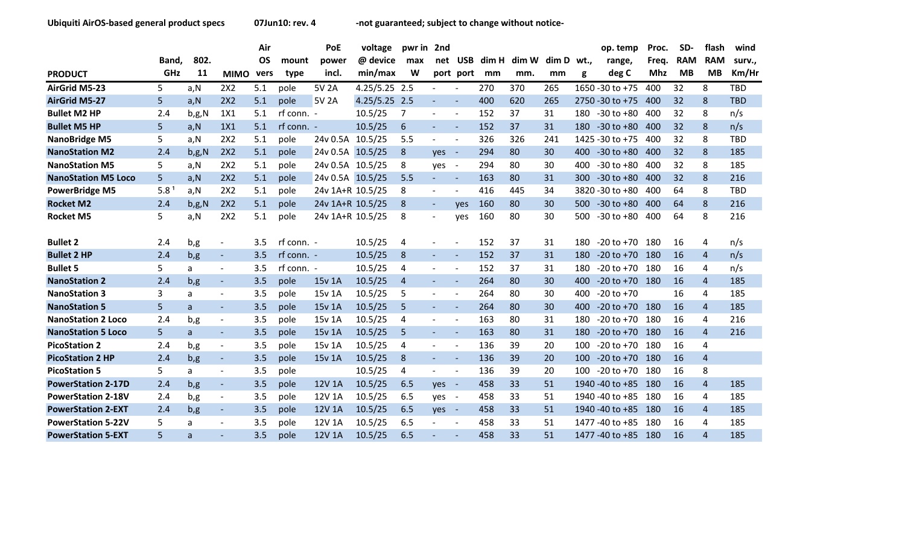|                            |       |          |                          | Air       |            | PoE              | voltage       | pwr in 2nd     |                          |                          |     |             |       |      | op. temp          | Proc. | SD-        | flash                  | wind       |
|----------------------------|-------|----------|--------------------------|-----------|------------|------------------|---------------|----------------|--------------------------|--------------------------|-----|-------------|-------|------|-------------------|-------|------------|------------------------|------------|
|                            | Band, | 802.     |                          | <b>OS</b> | mount      | power            | @ device      | max            | net                      | <b>USB</b>               |     | dim H dim W | dim D | wt., | range,            | Freg. | <b>RAM</b> | <b>RAM</b>             | surv.,     |
| <b>PRODUCT</b>             | GHz   | 11       | <b>MIMO</b>              | vers      | type       | incl.            | min/max       | W              |                          | port port                | mm  | mm.         | mm    | g    | deg C             | Mhz   | <b>MB</b>  | <b>MB</b>              | Km/Hr      |
| <b>AirGrid M5-23</b>       | 5     | a,N      | 2X2                      | 5.1       | pole       | 5V 2A            | 4.25/5.25 2.5 |                | $\blacksquare$           |                          | 270 | 370         | 265   |      | 1650 - 30 to + 75 | 400   | 32         | 8                      | TBD        |
| <b>AirGrid M5-27</b>       | 5     | a, N     | 2X2                      | 5.1       | pole       | 5V 2A            | 4.25/5.25 2.5 |                |                          |                          | 400 | 620         | 265   |      | 2750 - 30 to +75  | 400   | 32         | 8                      | <b>TBD</b> |
| <b>Bullet M2 HP</b>        | 2.4   | $b$ ,g,N | 1X1                      | 5.1       | rf conn. - |                  | 10.5/25       | 7              | $\overline{\phantom{a}}$ |                          | 152 | 37          | 31    | 180  | $-30$ to $+80$    | 400   | 32         | 8                      | n/s        |
| <b>Bullet M5 HP</b>        | 5     | a, N     | 1X1                      | 5.1       | rf conn. - |                  | 10.5/25       | 6              | $\overline{\phantom{a}}$ | $\overline{\phantom{a}}$ | 152 | 37          | 31    | 180  | $-30$ to $+80$    | 400   | 32         | 8                      | n/s        |
| <b>NanoBridge M5</b>       | 5     | a, N     | 2X2                      | 5.1       | pole       | 24v 0.5A         | 10.5/25       | 5.5            | $\overline{\phantom{a}}$ | $\overline{\phantom{a}}$ | 326 | 326         | 241   |      | 1425 - 30 to + 75 | 400   | 32         | 8                      | TBD        |
| <b>NanoStation M2</b>      | 2.4   | $b$ ,g,N | 2X2                      | 5.1       | pole       | 24v 0.5A         | 10.5/25       | 8              | yes                      | $\sim$                   | 294 | 80          | 30    | 400  | $-30$ to $+80$    | 400   | 32         | 8                      | 185        |
| <b>NanoStation M5</b>      | 5     | a,N      | 2X2                      | 5.1       | pole       | 24v 0.5A 10.5/25 |               | 8              | yes                      | $\sim$                   | 294 | 80          | 30    | 400  | $-30$ to $+80$    | 400   | 32         | 8                      | 185        |
| <b>NanoStation M5 Loco</b> | 5     | a, N     | 2X2                      | 5.1       | pole       | 24v 0.5A 10.5/25 |               | 5.5            | $\blacksquare$           |                          | 163 | 80          | 31    | 300  | $-30$ to $+80$    | 400   | 32         | 8                      | 216        |
| <b>PowerBridge M5</b>      | 5.8   | a,N      | 2X2                      | 5.1       | pole       | 24v 1A+R 10.5/25 |               | 8              | $\qquad \qquad -$        |                          | 416 | 445         | 34    |      | 3820 - 30 to +80  | 400   | 64         | 8                      | <b>TBD</b> |
| <b>Rocket M2</b>           | 2.4   | $b$ ,g,N | 2X2                      | 5.1       | pole       | 24v 1A+R 10.5/25 |               | 8              | $\blacksquare$           | <b>ves</b>               | 160 | 80          | 30    | 500  | $-30$ to $+80$    | 400   | 64         | 8                      | 216        |
| <b>Rocket M5</b>           | 5     | a,N      | 2X2                      | 5.1       | pole       | 24v 1A+R 10.5/25 |               | 8              | $\overline{\phantom{a}}$ | ves                      | 160 | 80          | 30    | 500  | $-30$ to $+80$    | 400   | 64         | 8                      | 216        |
| <b>Bullet 2</b>            | 2.4   | b,g      | $\overline{\phantom{a}}$ | 3.5       | rf conn. - |                  | 10.5/25       | 4              | $\overline{\phantom{a}}$ |                          | 152 | 37          | 31    | 180  | $-20$ to $+70$    | 180   | 16         | 4                      | n/s        |
| <b>Bullet 2 HP</b>         | 2.4   | b, g     | $\blacksquare$           | 3.5       | rf conn. - |                  | 10.5/25       | 8              | $\blacksquare$           |                          | 152 | 37          | 31    | 180  | $-20$ to $+70$    | 180   | <b>16</b>  | 4                      | n/s        |
| <b>Bullet 5</b>            | 5     | a        | $\blacksquare$           | 3.5       | rf conn. - |                  | 10.5/25       | 4              | $\overline{\phantom{a}}$ |                          | 152 | 37          | 31    | 180  | $-20$ to $+70$    | 180   | 16         | 4                      | n/s        |
| <b>NanoStation 2</b>       | 2.4   | b, g     | $\blacksquare$           | 3.5       | pole       | 15v 1A           | 10.5/25       | $\overline{4}$ | $\overline{\phantom{a}}$ | $\overline{\phantom{a}}$ | 264 | 80          | 30    | 400  | $-20$ to $+70$    | 180   | 16         | $\overline{4}$         | 185        |
| <b>NanoStation 3</b>       | 3     | a        | $\overline{\phantom{a}}$ | 3.5       | pole       | 15v 1A           | 10.5/25       | 5              | $\overline{\phantom{a}}$ |                          | 264 | 80          | 30    | 400  | $-20$ to $+70$    |       | 16         | 4                      | 185        |
| <b>NanoStation 5</b>       | 5     | a        | $\blacksquare$           | 3.5       | pole       | 15y 1A           | 10.5/25       | 5              | $\overline{\phantom{a}}$ |                          | 264 | 80          | 30    | 400  | $-20$ to $+70$    | 180   | 16         | $\overline{4}$         | 185        |
| <b>NanoStation 2 Loco</b>  | 2.4   | b,g      | $\overline{\phantom{a}}$ | 3.5       | pole       | 15v 1A           | 10.5/25       | 4              | $\overline{\phantom{a}}$ |                          | 163 | 80          | 31    | 180  | $-20$ to $+70$    | 180   | 16         | 4                      | 216        |
| <b>NanoStation 5 Loco</b>  | 5.    | a        | $\overline{\phantom{a}}$ | 3.5       | pole       | 15v 1A           | 10.5/25       | 5              | $\blacksquare$           |                          | 163 | 80          | 31    | 180  | $-20$ to $+70$    | 180   | 16         | $\overline{4}$         | 216        |
| <b>PicoStation 2</b>       | 2.4   | b,g      | $\blacksquare$           | 3.5       | pole       | 15v 1A           | 10.5/25       | 4              | $\overline{\phantom{a}}$ |                          | 136 | 39          | 20    | 100  | $-20$ to $+70$    | 180   | 16         | 4                      |            |
| <b>PicoStation 2 HP</b>    | 2.4   | b, g     | $\blacksquare$           | 3.5       | pole       | 15v 1A           | 10.5/25       | 8              | $\sim$                   |                          | 136 | 39          | 20    | 100  | $-20$ to $+70$    | 180   | 16         | $\overline{4}$         |            |
| <b>PicoStation 5</b>       | 5     | a        | $\overline{\phantom{a}}$ | 3.5       | pole       |                  | 10.5/25       | 4              | $\overline{\phantom{0}}$ |                          | 136 | 39          | 20    | 100  | $-20$ to $+70$    | 180   | 16         | 8                      |            |
| <b>PowerStation 2-17D</b>  | 2.4   | b, g     | $\overline{\phantom{a}}$ | 3.5       | pole       | 12V 1A           | 10.5/25       | 6.5            | yes                      | $\sim$ $-$               | 458 | 33          | 51    |      | 1940 - 40 to +85  | 180   | 16         | $\overline{4}$         | 185        |
| <b>PowerStation 2-18V</b>  | 2.4   | b,g      | $\blacksquare$           | 3.5       | pole       | 12V 1A           | 10.5/25       | 6.5            | yes                      |                          | 458 | 33          | 51    |      | 1940 - 40 to + 85 | 180   | 16         | 4                      | 185        |
| <b>PowerStation 2-EXT</b>  | 2.4   | b,g      | $\blacksquare$           | 3.5       | pole       | 12V 1A           | 10.5/25       | 6.5            | yes                      | $\sim$ $-$               | 458 | 33          | 51    |      | 1940 - 40 to +85  | 180   | 16         | $\overline{4}$         | 185        |
| <b>PowerStation 5-22V</b>  | 5     | a        | $\overline{\phantom{a}}$ | 3.5       | pole       | 12V 1A           | 10.5/25       | 6.5            | $\overline{\phantom{0}}$ |                          | 458 | 33          | 51    |      | 1477-40 to +85    | 180   | 16         | 4                      | 185        |
| <b>PowerStation 5-EXT</b>  | 5     | a        | $\overline{a}$           | 3.5       | pole       | 12V 1A           | 10.5/25       | 6.5            |                          |                          | 458 | 33          | 51    |      | 1477-40 to +85    | 180   | 16         | $\boldsymbol{\Lambda}$ | 185        |